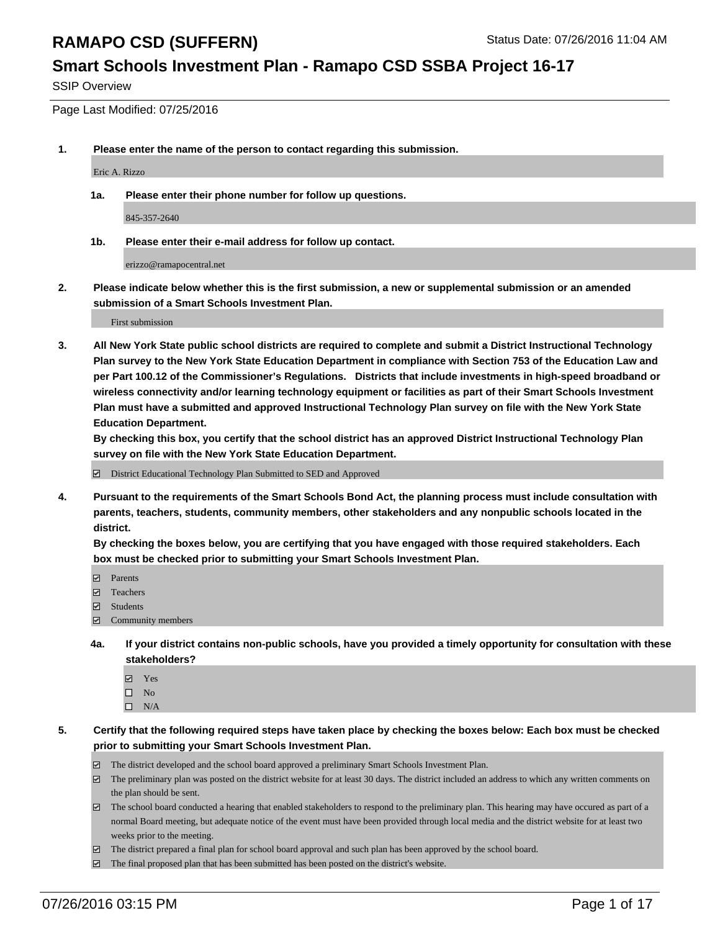### **Smart Schools Investment Plan - Ramapo CSD SSBA Project 16-17**

SSIP Overview

Page Last Modified: 07/25/2016

**1. Please enter the name of the person to contact regarding this submission.**

Eric A. Rizzo

**1a. Please enter their phone number for follow up questions.**

845-357-2640

**1b. Please enter their e-mail address for follow up contact.**

erizzo@ramapocentral.net

**2. Please indicate below whether this is the first submission, a new or supplemental submission or an amended submission of a Smart Schools Investment Plan.**

First submission

**3. All New York State public school districts are required to complete and submit a District Instructional Technology Plan survey to the New York State Education Department in compliance with Section 753 of the Education Law and per Part 100.12 of the Commissioner's Regulations. Districts that include investments in high-speed broadband or wireless connectivity and/or learning technology equipment or facilities as part of their Smart Schools Investment Plan must have a submitted and approved Instructional Technology Plan survey on file with the New York State Education Department.** 

**By checking this box, you certify that the school district has an approved District Instructional Technology Plan survey on file with the New York State Education Department.**

District Educational Technology Plan Submitted to SED and Approved

**4. Pursuant to the requirements of the Smart Schools Bond Act, the planning process must include consultation with parents, teachers, students, community members, other stakeholders and any nonpublic schools located in the district.** 

**By checking the boxes below, you are certifying that you have engaged with those required stakeholders. Each box must be checked prior to submitting your Smart Schools Investment Plan.**

- **Parents**
- □ Teachers
- $\blacksquare$  Students
- Community members
- **4a. If your district contains non-public schools, have you provided a timely opportunity for consultation with these stakeholders?**
	- Yes  $\square$  No
	- $\square$  N/A
- **5. Certify that the following required steps have taken place by checking the boxes below: Each box must be checked prior to submitting your Smart Schools Investment Plan.**
	- The district developed and the school board approved a preliminary Smart Schools Investment Plan.
	- $\boxdot$  The preliminary plan was posted on the district website for at least 30 days. The district included an address to which any written comments on the plan should be sent.
	- $\Box$  The school board conducted a hearing that enabled stakeholders to respond to the preliminary plan. This hearing may have occured as part of a normal Board meeting, but adequate notice of the event must have been provided through local media and the district website for at least two weeks prior to the meeting.
	- The district prepared a final plan for school board approval and such plan has been approved by the school board.
	- $\boxdot$  The final proposed plan that has been submitted has been posted on the district's website.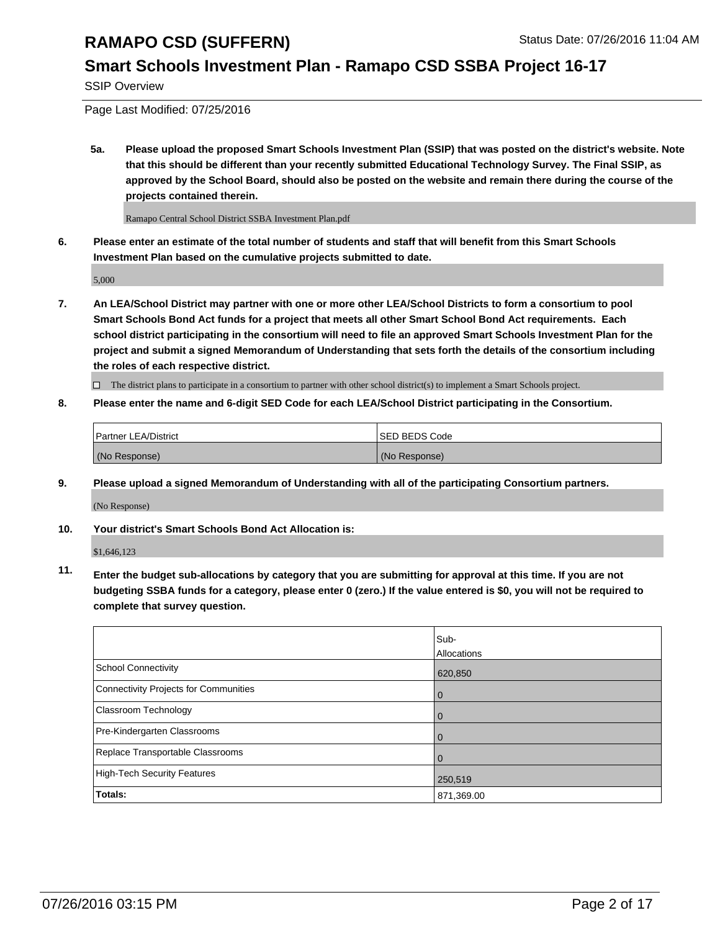### **Smart Schools Investment Plan - Ramapo CSD SSBA Project 16-17**

SSIP Overview

Page Last Modified: 07/25/2016

**5a. Please upload the proposed Smart Schools Investment Plan (SSIP) that was posted on the district's website. Note that this should be different than your recently submitted Educational Technology Survey. The Final SSIP, as approved by the School Board, should also be posted on the website and remain there during the course of the projects contained therein.**

Ramapo Central School District SSBA Investment Plan.pdf

**6. Please enter an estimate of the total number of students and staff that will benefit from this Smart Schools Investment Plan based on the cumulative projects submitted to date.**

5,000

**7. An LEA/School District may partner with one or more other LEA/School Districts to form a consortium to pool Smart Schools Bond Act funds for a project that meets all other Smart School Bond Act requirements. Each school district participating in the consortium will need to file an approved Smart Schools Investment Plan for the project and submit a signed Memorandum of Understanding that sets forth the details of the consortium including the roles of each respective district.**

 $\Box$  The district plans to participate in a consortium to partner with other school district(s) to implement a Smart Schools project.

#### **8. Please enter the name and 6-digit SED Code for each LEA/School District participating in the Consortium.**

| Partner LEA/District | <b>ISED BEDS Code</b> |
|----------------------|-----------------------|
| (No Response)        | (No Response)         |

**9. Please upload a signed Memorandum of Understanding with all of the participating Consortium partners.**

(No Response)

**10. Your district's Smart Schools Bond Act Allocation is:**

\$1,646,123

**11. Enter the budget sub-allocations by category that you are submitting for approval at this time. If you are not budgeting SSBA funds for a category, please enter 0 (zero.) If the value entered is \$0, you will not be required to complete that survey question.**

|                                       | Sub-        |
|---------------------------------------|-------------|
|                                       | Allocations |
| School Connectivity                   | 620,850     |
| Connectivity Projects for Communities | $\Omega$    |
| Classroom Technology                  | O           |
| Pre-Kindergarten Classrooms           |             |
| Replace Transportable Classrooms      |             |
| High-Tech Security Features           | 250,519     |
| <b>Totals:</b>                        | 871,369.00  |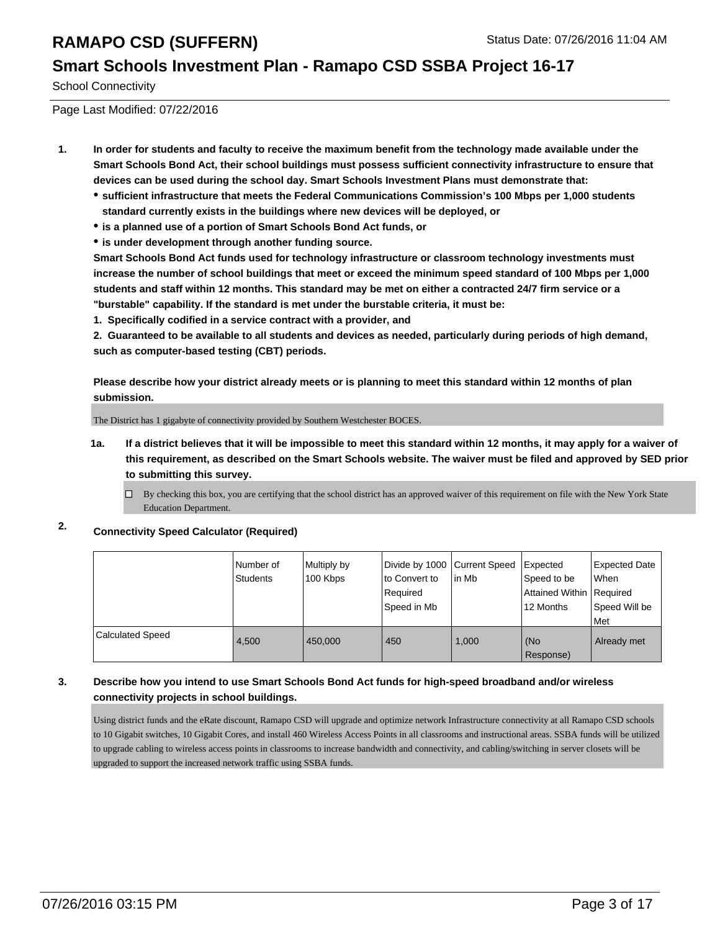#### **Smart Schools Investment Plan - Ramapo CSD SSBA Project 16-17**

School Connectivity

Page Last Modified: 07/22/2016

- **1. In order for students and faculty to receive the maximum benefit from the technology made available under the Smart Schools Bond Act, their school buildings must possess sufficient connectivity infrastructure to ensure that devices can be used during the school day. Smart Schools Investment Plans must demonstrate that:**
	- **sufficient infrastructure that meets the Federal Communications Commission's 100 Mbps per 1,000 students standard currently exists in the buildings where new devices will be deployed, or**
	- **is a planned use of a portion of Smart Schools Bond Act funds, or**
	- **is under development through another funding source.**

**Smart Schools Bond Act funds used for technology infrastructure or classroom technology investments must increase the number of school buildings that meet or exceed the minimum speed standard of 100 Mbps per 1,000 students and staff within 12 months. This standard may be met on either a contracted 24/7 firm service or a "burstable" capability. If the standard is met under the burstable criteria, it must be:**

**1. Specifically codified in a service contract with a provider, and**

**2. Guaranteed to be available to all students and devices as needed, particularly during periods of high demand, such as computer-based testing (CBT) periods.**

**Please describe how your district already meets or is planning to meet this standard within 12 months of plan submission.**

The District has 1 gigabyte of connectivity provided by Southern Westchester BOCES.

- **1a. If a district believes that it will be impossible to meet this standard within 12 months, it may apply for a waiver of this requirement, as described on the Smart Schools website. The waiver must be filed and approved by SED prior to submitting this survey.**
	- $\Box$ By checking this box, you are certifying that the school district has an approved waiver of this requirement on file with the New York State Education Department.
- **2. Connectivity Speed Calculator (Required)**

|                  | Number of<br>Students | Multiply by<br>100 Kbps | Divide by 1000 Current Speed<br>to Convert to<br>Required<br>Speed in Mb | lin Mb | Expected<br>Speed to be<br>Attained Within   Required<br>12 Months | Expected Date<br>When<br>Speed Will be<br>l Met |
|------------------|-----------------------|-------------------------|--------------------------------------------------------------------------|--------|--------------------------------------------------------------------|-------------------------------------------------|
| Calculated Speed | 4.500                 | 450.000                 | 450                                                                      | 1.000  | (No<br>Response)                                                   | Already met                                     |

#### **3. Describe how you intend to use Smart Schools Bond Act funds for high-speed broadband and/or wireless connectivity projects in school buildings.**

Using district funds and the eRate discount, Ramapo CSD will upgrade and optimize network Infrastructure connectivity at all Ramapo CSD schools to 10 Gigabit switches, 10 Gigabit Cores, and install 460 Wireless Access Points in all classrooms and instructional areas. SSBA funds will be utilized to upgrade cabling to wireless access points in classrooms to increase bandwidth and connectivity, and cabling/switching in server closets will be upgraded to support the increased network traffic using SSBA funds.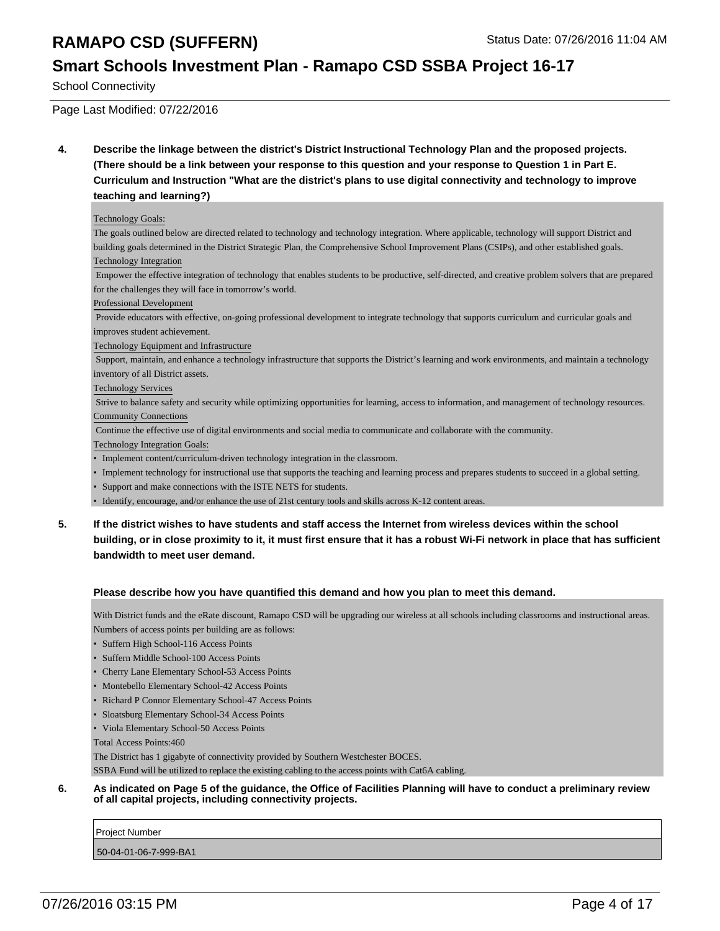### **Smart Schools Investment Plan - Ramapo CSD SSBA Project 16-17**

School Connectivity

Page Last Modified: 07/22/2016

**4. Describe the linkage between the district's District Instructional Technology Plan and the proposed projects. (There should be a link between your response to this question and your response to Question 1 in Part E. Curriculum and Instruction "What are the district's plans to use digital connectivity and technology to improve teaching and learning?)**

#### Technology Goals:

The goals outlined below are directed related to technology and technology integration. Where applicable, technology will support District and building goals determined in the District Strategic Plan, the Comprehensive School Improvement Plans (CSIPs), and other established goals.

#### Technology Integration

 Empower the effective integration of technology that enables students to be productive, self-directed, and creative problem solvers that are prepared for the challenges they will face in tomorrow's world.

Professional Development

 Provide educators with effective, on-going professional development to integrate technology that supports curriculum and curricular goals and improves student achievement.

Technology Equipment and Infrastructure

 Support, maintain, and enhance a technology infrastructure that supports the District's learning and work environments, and maintain a technology inventory of all District assets.

Technology Services

 Strive to balance safety and security while optimizing opportunities for learning, access to information, and management of technology resources. Community Connections

Continue the effective use of digital environments and social media to communicate and collaborate with the community.

Technology Integration Goals:

- Implement content/curriculum-driven technology integration in the classroom.
- Implement technology for instructional use that supports the teaching and learning process and prepares students to succeed in a global setting.
- Support and make connections with the ISTE NETS for students.
- Identify, encourage, and/or enhance the use of 21st century tools and skills across K-12 content areas.
- **5. If the district wishes to have students and staff access the Internet from wireless devices within the school building, or in close proximity to it, it must first ensure that it has a robust Wi-Fi network in place that has sufficient bandwidth to meet user demand.**

#### **Please describe how you have quantified this demand and how you plan to meet this demand.**

With District funds and the eRate discount, Ramapo CSD will be upgrading our wireless at all schools including classrooms and instructional areas. Numbers of access points per building are as follows:

- Suffern High School-116 Access Points
- Suffern Middle School-100 Access Points
- Cherry Lane Elementary School-53 Access Points
- Montebello Elementary School-42 Access Points
- Richard P Connor Elementary School-47 Access Points
- Sloatsburg Elementary School-34 Access Points
- Viola Elementary School-50 Access Points

Total Access Points:460

The District has 1 gigabyte of connectivity provided by Southern Westchester BOCES.

SSBA Fund will be utilized to replace the existing cabling to the access points with Cat6A cabling.

#### **6. As indicated on Page 5 of the guidance, the Office of Facilities Planning will have to conduct a preliminary review of all capital projects, including connectivity projects.**

Project Number 50-04-01-06-7-999-BA1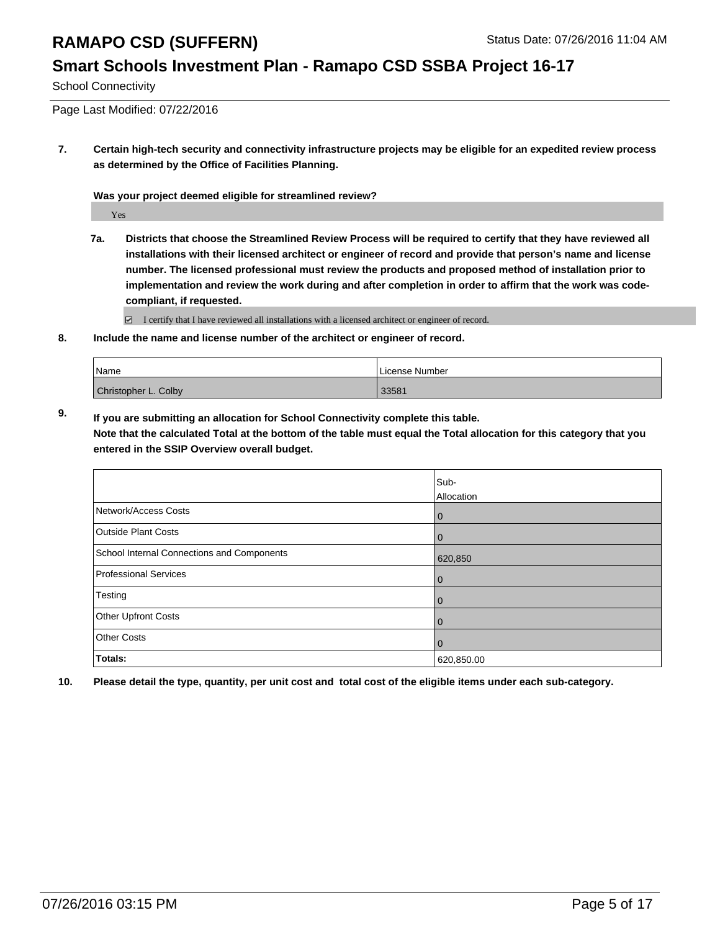### **Smart Schools Investment Plan - Ramapo CSD SSBA Project 16-17**

School Connectivity

Page Last Modified: 07/22/2016

**7. Certain high-tech security and connectivity infrastructure projects may be eligible for an expedited review process as determined by the Office of Facilities Planning.**

**Was your project deemed eligible for streamlined review?**

Yes

**7a. Districts that choose the Streamlined Review Process will be required to certify that they have reviewed all installations with their licensed architect or engineer of record and provide that person's name and license number. The licensed professional must review the products and proposed method of installation prior to implementation and review the work during and after completion in order to affirm that the work was codecompliant, if requested.**

 $\Box$  I certify that I have reviewed all installations with a licensed architect or engineer of record.

**8. Include the name and license number of the architect or engineer of record.**

| <i>Name</i>          | License Number |
|----------------------|----------------|
| Christopher L. Colby | 33581          |

**9. If you are submitting an allocation for School Connectivity complete this table. Note that the calculated Total at the bottom of the table must equal the Total allocation for this category that you entered in the SSIP Overview overall budget.** 

|                                            | Sub-           |
|--------------------------------------------|----------------|
|                                            | Allocation     |
| Network/Access Costs                       | 0              |
| <b>Outside Plant Costs</b>                 | $\overline{0}$ |
| School Internal Connections and Components | 620,850        |
| <b>Professional Services</b>               | $\overline{0}$ |
| Testing                                    | $\overline{0}$ |
| Other Upfront Costs                        | $\overline{0}$ |
| <b>Other Costs</b>                         | $\overline{0}$ |
| Totals:                                    | 620,850.00     |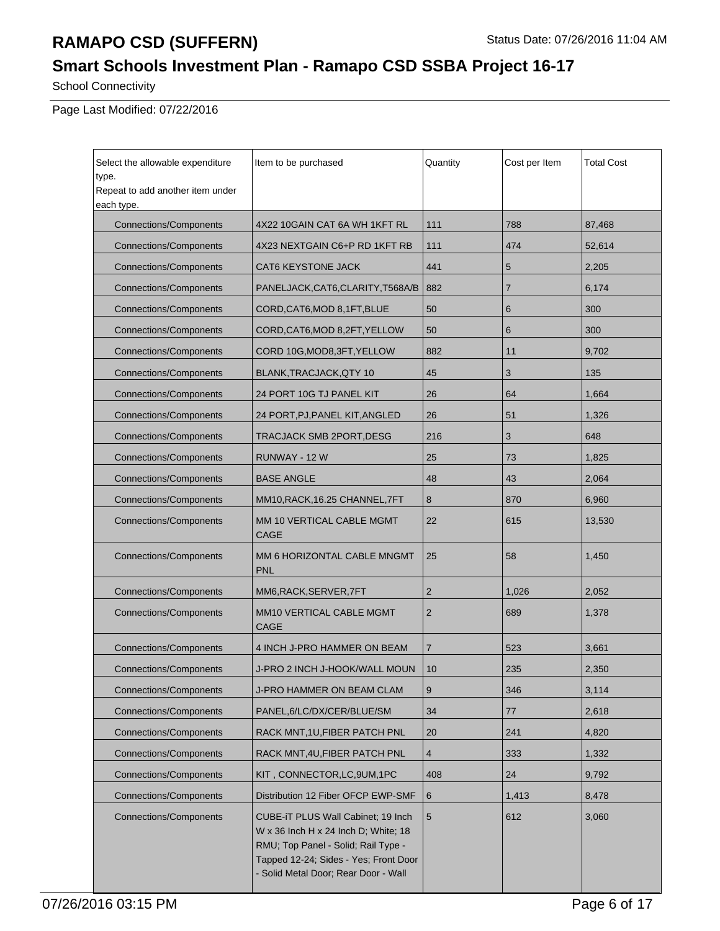# **Smart Schools Investment Plan - Ramapo CSD SSBA Project 16-17**

School Connectivity

Page Last Modified: 07/22/2016

| Select the allowable expenditure          | Item to be purchased                                                                                                                                                                               | Quantity       | Cost per Item | <b>Total Cost</b> |
|-------------------------------------------|----------------------------------------------------------------------------------------------------------------------------------------------------------------------------------------------------|----------------|---------------|-------------------|
| type.<br>Repeat to add another item under |                                                                                                                                                                                                    |                |               |                   |
| each type.                                |                                                                                                                                                                                                    |                |               |                   |
| <b>Connections/Components</b>             | 4X22 10GAIN CAT 6A WH 1KFT RL                                                                                                                                                                      | 111            | 788           | 87,468            |
| <b>Connections/Components</b>             | 4X23 NEXTGAIN C6+P RD 1KFT RB                                                                                                                                                                      | 111            | 474           | 52,614            |
| <b>Connections/Components</b>             | CAT6 KEYSTONE JACK                                                                                                                                                                                 | 441            | 5             | 2,205             |
| <b>Connections/Components</b>             | PANELJACK, CAT6, CLARITY, T568A/B                                                                                                                                                                  | 882            | 7             | 6,174             |
| <b>Connections/Components</b>             | CORD, CAT6, MOD 8, 1FT, BLUE                                                                                                                                                                       | 50             | 6             | 300               |
| <b>Connections/Components</b>             | CORD, CAT6, MOD 8, 2FT, YELLOW                                                                                                                                                                     | 50             | 6             | 300               |
| <b>Connections/Components</b>             | CORD 10G, MOD8, 3FT, YELLOW                                                                                                                                                                        | 882            | 11            | 9,702             |
| <b>Connections/Components</b>             | BLANK, TRACJACK, QTY 10                                                                                                                                                                            | 45             | 3             | 135               |
| <b>Connections/Components</b>             | 24 PORT 10G TJ PANEL KIT                                                                                                                                                                           | 26             | 64            | 1,664             |
| <b>Connections/Components</b>             | 24 PORT, PJ, PANEL KIT, ANGLED                                                                                                                                                                     | 26             | 51            | 1,326             |
| <b>Connections/Components</b>             | TRACJACK SMB 2PORT, DESG                                                                                                                                                                           | 216            | 3             | 648               |
| <b>Connections/Components</b>             | RUNWAY - 12 W                                                                                                                                                                                      | 25             | 73            | 1,825             |
| <b>Connections/Components</b>             | <b>BASE ANGLE</b>                                                                                                                                                                                  | 48             | 43            | 2,064             |
| <b>Connections/Components</b>             | MM10, RACK, 16.25 CHANNEL, 7FT                                                                                                                                                                     | 8              | 870           | 6,960             |
| <b>Connections/Components</b>             | MM 10 VERTICAL CABLE MGMT<br><b>CAGE</b>                                                                                                                                                           | 22             | 615           | 13,530            |
| <b>Connections/Components</b>             | MM 6 HORIZONTAL CABLE MNGMT<br><b>PNL</b>                                                                                                                                                          | 25             | 58            | 1,450             |
| <b>Connections/Components</b>             | MM6, RACK, SERVER, 7FT                                                                                                                                                                             | $\overline{2}$ | 1,026         | 2,052             |
| <b>Connections/Components</b>             | MM10 VERTICAL CABLE MGMT<br><b>CAGE</b>                                                                                                                                                            | $\overline{2}$ | 689           | 1,378             |
| <b>Connections/Components</b>             | 4 INCH J-PRO HAMMER ON BEAM                                                                                                                                                                        | $\overline{7}$ | 523           | 3,661             |
| <b>Connections/Components</b>             | J-PRO 2 INCH J-HOOK/WALL MOUN                                                                                                                                                                      | 10             | 235           | 2,350             |
| <b>Connections/Components</b>             | J-PRO HAMMER ON BEAM CLAM                                                                                                                                                                          | 9              | 346           | 3,114             |
| <b>Connections/Components</b>             | PANEL, 6/LC/DX/CER/BLUE/SM                                                                                                                                                                         | 34             | 77            | 2,618             |
| <b>Connections/Components</b>             | RACK MNT, 1U, FIBER PATCH PNL                                                                                                                                                                      | 20             | 241           | 4,820             |
| <b>Connections/Components</b>             | RACK MNT, 4U, FIBER PATCH PNL                                                                                                                                                                      | $\overline{4}$ | 333           | 1,332             |
| <b>Connections/Components</b>             | KIT, CONNECTOR, LC, 9UM, 1PC                                                                                                                                                                       | 408            | 24            | 9,792             |
| <b>Connections/Components</b>             | Distribution 12 Fiber OFCP EWP-SMF                                                                                                                                                                 | 6              | 1,413         | 8,478             |
| <b>Connections/Components</b>             | CUBE-iT PLUS Wall Cabinet; 19 Inch<br>W x 36 Inch H x 24 Inch D; White; 18<br>RMU; Top Panel - Solid; Rail Type -<br>Tapped 12-24; Sides - Yes; Front Door<br>- Solid Metal Door; Rear Door - Wall | $\sqrt{5}$     | 612           | 3,060             |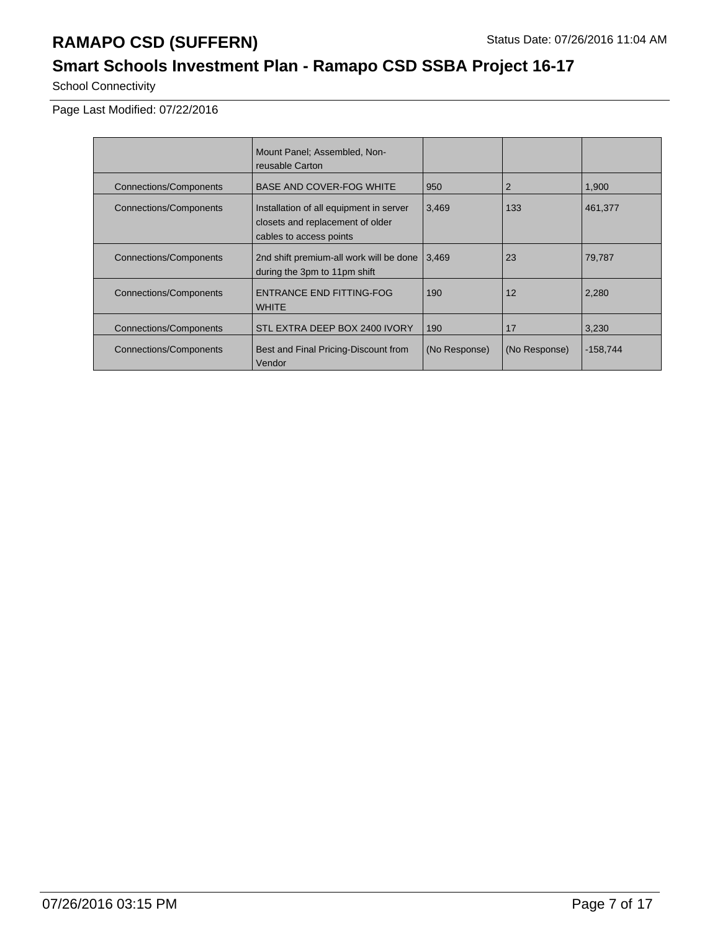## **Smart Schools Investment Plan - Ramapo CSD SSBA Project 16-17**

School Connectivity

Page Last Modified: 07/22/2016

|                               | Mount Panel; Assembled, Non-<br>reusable Carton                                                        |               |               |            |
|-------------------------------|--------------------------------------------------------------------------------------------------------|---------------|---------------|------------|
| <b>Connections/Components</b> | <b>BASE AND COVER-FOG WHITE</b>                                                                        | 950           | 2             | 1.900      |
| <b>Connections/Components</b> | Installation of all equipment in server<br>closets and replacement of older<br>cables to access points | 3,469         | 133           | 461,377    |
| <b>Connections/Components</b> | 2nd shift premium-all work will be done<br>during the 3pm to 11pm shift                                | 3.469         | 23            | 79,787     |
| <b>Connections/Components</b> | ENTRANCE END FITTING-FOG<br><b>WHITE</b>                                                               | 190           | 12            | 2,280      |
| <b>Connections/Components</b> | STL EXTRA DEEP BOX 2400 IVORY                                                                          | 190           | 17            | 3,230      |
| Connections/Components        | Best and Final Pricing-Discount from<br>Vendor                                                         | (No Response) | (No Response) | $-158,744$ |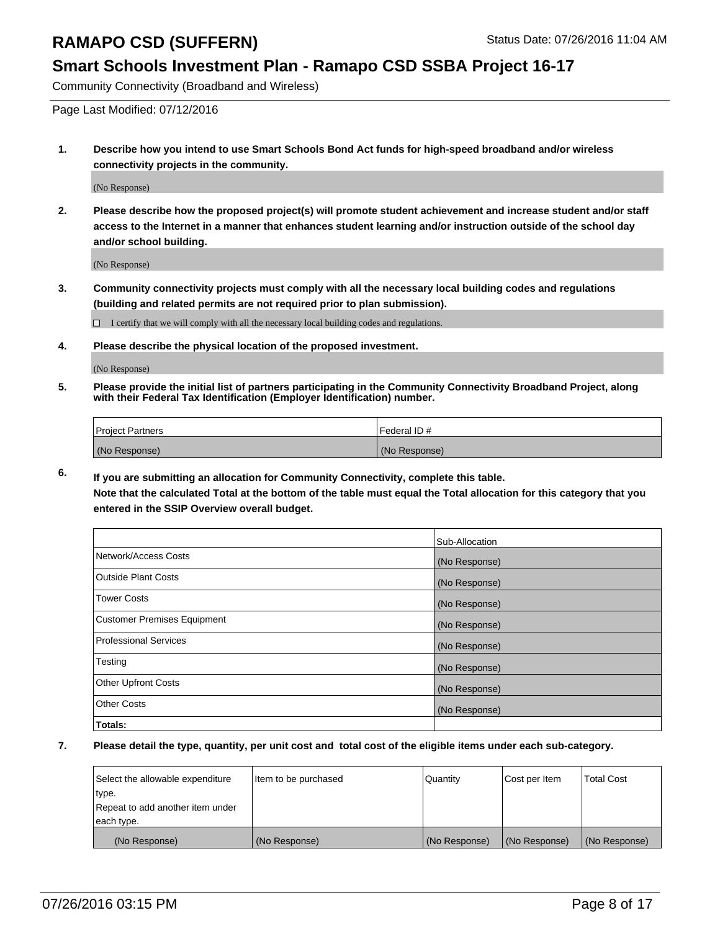#### **Smart Schools Investment Plan - Ramapo CSD SSBA Project 16-17**

Community Connectivity (Broadband and Wireless)

Page Last Modified: 07/12/2016

**1. Describe how you intend to use Smart Schools Bond Act funds for high-speed broadband and/or wireless connectivity projects in the community.**

(No Response)

**2. Please describe how the proposed project(s) will promote student achievement and increase student and/or staff access to the Internet in a manner that enhances student learning and/or instruction outside of the school day and/or school building.**

(No Response)

**3. Community connectivity projects must comply with all the necessary local building codes and regulations (building and related permits are not required prior to plan submission).**

 $\Box$  I certify that we will comply with all the necessary local building codes and regulations.

**4. Please describe the physical location of the proposed investment.**

(No Response)

**5. Please provide the initial list of partners participating in the Community Connectivity Broadband Project, along with their Federal Tax Identification (Employer Identification) number.**

| Project Partners | l Federal ID # |
|------------------|----------------|
| (No Response)    | (No Response)  |

**6. If you are submitting an allocation for Community Connectivity, complete this table. Note that the calculated Total at the bottom of the table must equal the Total allocation for this category that you**

**entered in the SSIP Overview overall budget.**

|                                    | Sub-Allocation |
|------------------------------------|----------------|
| Network/Access Costs               | (No Response)  |
| <b>Outside Plant Costs</b>         | (No Response)  |
| <b>Tower Costs</b>                 | (No Response)  |
| <b>Customer Premises Equipment</b> | (No Response)  |
| <b>Professional Services</b>       | (No Response)  |
| Testing                            | (No Response)  |
| <b>Other Upfront Costs</b>         | (No Response)  |
| <b>Other Costs</b>                 | (No Response)  |
| Totals:                            |                |

| Select the allowable expenditure | Item to be purchased | Quantity      | Cost per Item | <b>Total Cost</b> |
|----------------------------------|----------------------|---------------|---------------|-------------------|
| type.                            |                      |               |               |                   |
| Repeat to add another item under |                      |               |               |                   |
| each type.                       |                      |               |               |                   |
| (No Response)                    | (No Response)        | (No Response) | (No Response) | (No Response)     |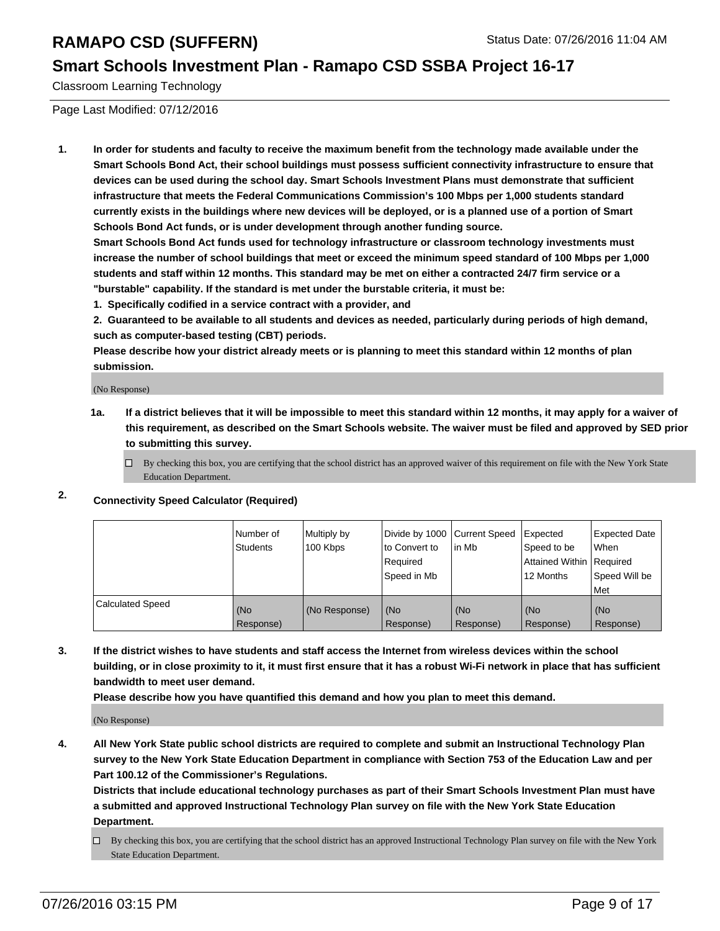#### **Smart Schools Investment Plan - Ramapo CSD SSBA Project 16-17**

Classroom Learning Technology

Page Last Modified: 07/12/2016

**1. In order for students and faculty to receive the maximum benefit from the technology made available under the Smart Schools Bond Act, their school buildings must possess sufficient connectivity infrastructure to ensure that devices can be used during the school day. Smart Schools Investment Plans must demonstrate that sufficient infrastructure that meets the Federal Communications Commission's 100 Mbps per 1,000 students standard currently exists in the buildings where new devices will be deployed, or is a planned use of a portion of Smart Schools Bond Act funds, or is under development through another funding source.**

**Smart Schools Bond Act funds used for technology infrastructure or classroom technology investments must increase the number of school buildings that meet or exceed the minimum speed standard of 100 Mbps per 1,000 students and staff within 12 months. This standard may be met on either a contracted 24/7 firm service or a "burstable" capability. If the standard is met under the burstable criteria, it must be:**

**1. Specifically codified in a service contract with a provider, and**

**2. Guaranteed to be available to all students and devices as needed, particularly during periods of high demand, such as computer-based testing (CBT) periods.**

**Please describe how your district already meets or is planning to meet this standard within 12 months of plan submission.**

(No Response)

- **1a. If a district believes that it will be impossible to meet this standard within 12 months, it may apply for a waiver of this requirement, as described on the Smart Schools website. The waiver must be filed and approved by SED prior to submitting this survey.**
	- $\Box$  By checking this box, you are certifying that the school district has an approved waiver of this requirement on file with the New York State Education Department.
- **2. Connectivity Speed Calculator (Required)**

|                         | INumber of<br>Students | Multiply by<br>100 Kbps | Ito Convert to<br>Reauired<br>Speed in Mb | Divide by 1000 Current Speed Expected<br>lin Mb | Speed to be<br>Attained Within   Required<br>12 Months | <b>Expected Date</b><br>l When<br>Speed Will be<br>Met |
|-------------------------|------------------------|-------------------------|-------------------------------------------|-------------------------------------------------|--------------------------------------------------------|--------------------------------------------------------|
| <b>Calculated Speed</b> | (No<br>Response)       | (No Response)           | (No<br>Response)                          | (No<br>Response)                                | l (No<br>Response)                                     | (No<br>Response)                                       |

**3. If the district wishes to have students and staff access the Internet from wireless devices within the school building, or in close proximity to it, it must first ensure that it has a robust Wi-Fi network in place that has sufficient bandwidth to meet user demand.**

**Please describe how you have quantified this demand and how you plan to meet this demand.**

(No Response)

**4. All New York State public school districts are required to complete and submit an Instructional Technology Plan survey to the New York State Education Department in compliance with Section 753 of the Education Law and per Part 100.12 of the Commissioner's Regulations.**

**Districts that include educational technology purchases as part of their Smart Schools Investment Plan must have a submitted and approved Instructional Technology Plan survey on file with the New York State Education Department.**

By checking this box, you are certifying that the school district has an approved Instructional Technology Plan survey on file with the New York State Education Department.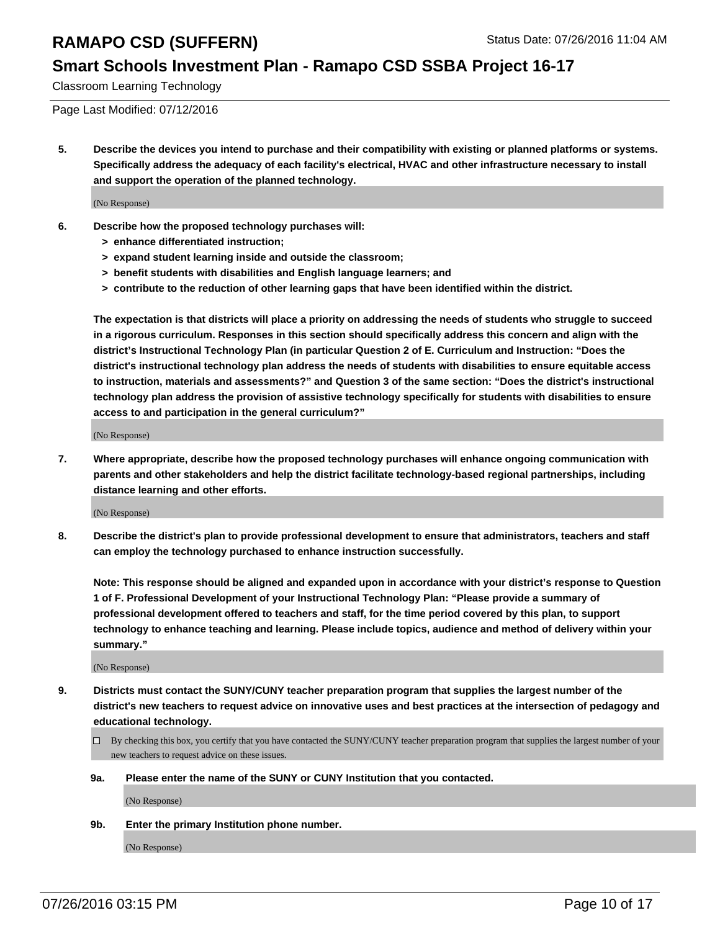### **Smart Schools Investment Plan - Ramapo CSD SSBA Project 16-17**

Classroom Learning Technology

Page Last Modified: 07/12/2016

**5. Describe the devices you intend to purchase and their compatibility with existing or planned platforms or systems. Specifically address the adequacy of each facility's electrical, HVAC and other infrastructure necessary to install and support the operation of the planned technology.**

(No Response)

- **6. Describe how the proposed technology purchases will:**
	- **> enhance differentiated instruction;**
	- **> expand student learning inside and outside the classroom;**
	- **> benefit students with disabilities and English language learners; and**
	- **> contribute to the reduction of other learning gaps that have been identified within the district.**

**The expectation is that districts will place a priority on addressing the needs of students who struggle to succeed in a rigorous curriculum. Responses in this section should specifically address this concern and align with the district's Instructional Technology Plan (in particular Question 2 of E. Curriculum and Instruction: "Does the district's instructional technology plan address the needs of students with disabilities to ensure equitable access to instruction, materials and assessments?" and Question 3 of the same section: "Does the district's instructional technology plan address the provision of assistive technology specifically for students with disabilities to ensure access to and participation in the general curriculum?"**

(No Response)

**7. Where appropriate, describe how the proposed technology purchases will enhance ongoing communication with parents and other stakeholders and help the district facilitate technology-based regional partnerships, including distance learning and other efforts.**

(No Response)

**8. Describe the district's plan to provide professional development to ensure that administrators, teachers and staff can employ the technology purchased to enhance instruction successfully.**

**Note: This response should be aligned and expanded upon in accordance with your district's response to Question 1 of F. Professional Development of your Instructional Technology Plan: "Please provide a summary of professional development offered to teachers and staff, for the time period covered by this plan, to support technology to enhance teaching and learning. Please include topics, audience and method of delivery within your summary."**

(No Response)

- **9. Districts must contact the SUNY/CUNY teacher preparation program that supplies the largest number of the district's new teachers to request advice on innovative uses and best practices at the intersection of pedagogy and educational technology.**
	- $\square$  By checking this box, you certify that you have contacted the SUNY/CUNY teacher preparation program that supplies the largest number of your new teachers to request advice on these issues.
	- **9a. Please enter the name of the SUNY or CUNY Institution that you contacted.**

(No Response)

**9b. Enter the primary Institution phone number.**

(No Response)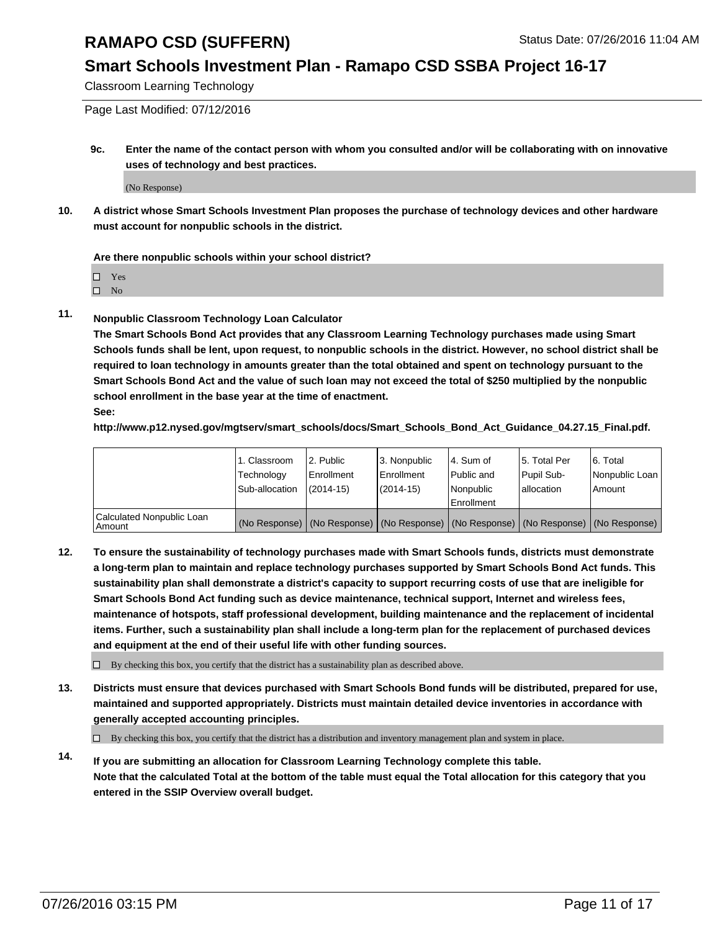### **Smart Schools Investment Plan - Ramapo CSD SSBA Project 16-17**

Classroom Learning Technology

Page Last Modified: 07/12/2016

**9c. Enter the name of the contact person with whom you consulted and/or will be collaborating with on innovative uses of technology and best practices.**

(No Response)

**10. A district whose Smart Schools Investment Plan proposes the purchase of technology devices and other hardware must account for nonpublic schools in the district.**

**Are there nonpublic schools within your school district?**

□ Yes

 $\hfill \square$  No

**11. Nonpublic Classroom Technology Loan Calculator**

**The Smart Schools Bond Act provides that any Classroom Learning Technology purchases made using Smart Schools funds shall be lent, upon request, to nonpublic schools in the district. However, no school district shall be required to loan technology in amounts greater than the total obtained and spent on technology pursuant to the Smart Schools Bond Act and the value of such loan may not exceed the total of \$250 multiplied by the nonpublic school enrollment in the base year at the time of enactment. See:**

**http://www.p12.nysed.gov/mgtserv/smart\_schools/docs/Smart\_Schools\_Bond\_Act\_Guidance\_04.27.15\_Final.pdf.**

|                                         | 1. Classroom   | 2. Public         | 3. Nonpublic                                                                                  | l 4. Sum of  | 5. Total Per | 6. Total       |
|-----------------------------------------|----------------|-------------------|-----------------------------------------------------------------------------------------------|--------------|--------------|----------------|
|                                         | Technology     | <b>Enrollment</b> | Enrollment                                                                                    | l Public and | Pupil Sub-   | Nonpublic Loan |
|                                         | Sub-allocation | $(2014 - 15)$     | $(2014-15)$                                                                                   | Nonpublic    | lallocation  | Amount         |
| Calculated Nonpublic Loan<br>l Amount i |                |                   | (No Response)   (No Response)   (No Response)   (No Response)   (No Response)   (No Response) | Enrollment   |              |                |

**12. To ensure the sustainability of technology purchases made with Smart Schools funds, districts must demonstrate a long-term plan to maintain and replace technology purchases supported by Smart Schools Bond Act funds. This sustainability plan shall demonstrate a district's capacity to support recurring costs of use that are ineligible for Smart Schools Bond Act funding such as device maintenance, technical support, Internet and wireless fees, maintenance of hotspots, staff professional development, building maintenance and the replacement of incidental items. Further, such a sustainability plan shall include a long-term plan for the replacement of purchased devices and equipment at the end of their useful life with other funding sources.**

 $\square$  By checking this box, you certify that the district has a sustainability plan as described above.

**13. Districts must ensure that devices purchased with Smart Schools Bond funds will be distributed, prepared for use, maintained and supported appropriately. Districts must maintain detailed device inventories in accordance with generally accepted accounting principles.**

 $\Box$  By checking this box, you certify that the district has a distribution and inventory management plan and system in place.

**14. If you are submitting an allocation for Classroom Learning Technology complete this table. Note that the calculated Total at the bottom of the table must equal the Total allocation for this category that you entered in the SSIP Overview overall budget.**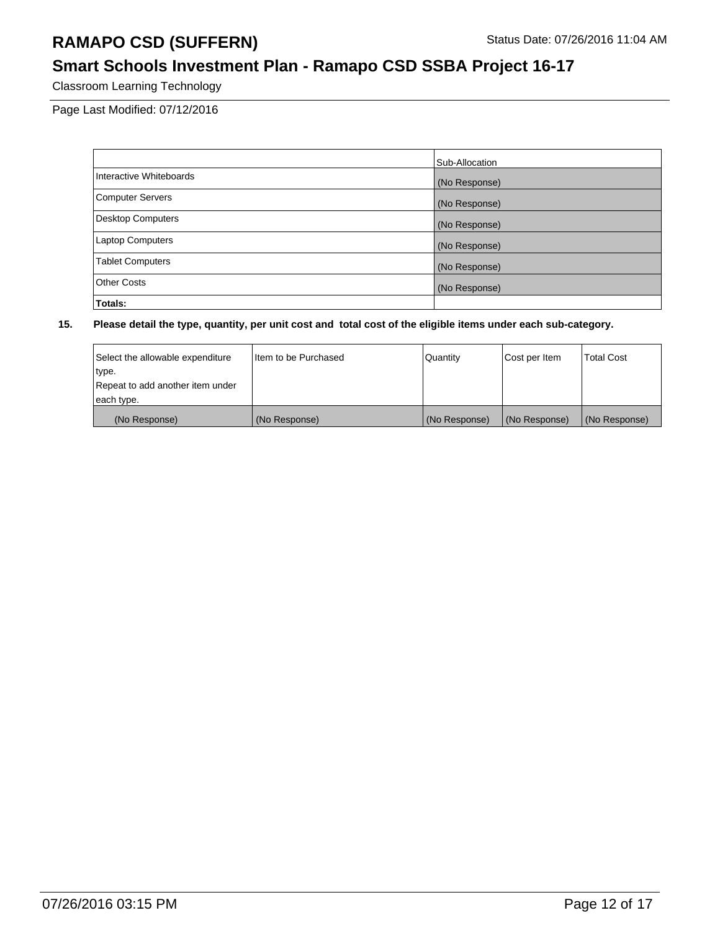### **Smart Schools Investment Plan - Ramapo CSD SSBA Project 16-17**

Classroom Learning Technology

Page Last Modified: 07/12/2016

|                          | Sub-Allocation |
|--------------------------|----------------|
| Interactive Whiteboards  | (No Response)  |
| <b>Computer Servers</b>  | (No Response)  |
| <b>Desktop Computers</b> | (No Response)  |
| <b>Laptop Computers</b>  | (No Response)  |
| <b>Tablet Computers</b>  | (No Response)  |
| <b>Other Costs</b>       | (No Response)  |
| Totals:                  |                |

| Select the allowable expenditure | Iltem to be Purchased | Quantity      | Cost per Item | <b>Total Cost</b> |
|----------------------------------|-----------------------|---------------|---------------|-------------------|
| type.                            |                       |               |               |                   |
| Repeat to add another item under |                       |               |               |                   |
| each type.                       |                       |               |               |                   |
| (No Response)                    | (No Response)         | (No Response) | (No Response) | (No Response)     |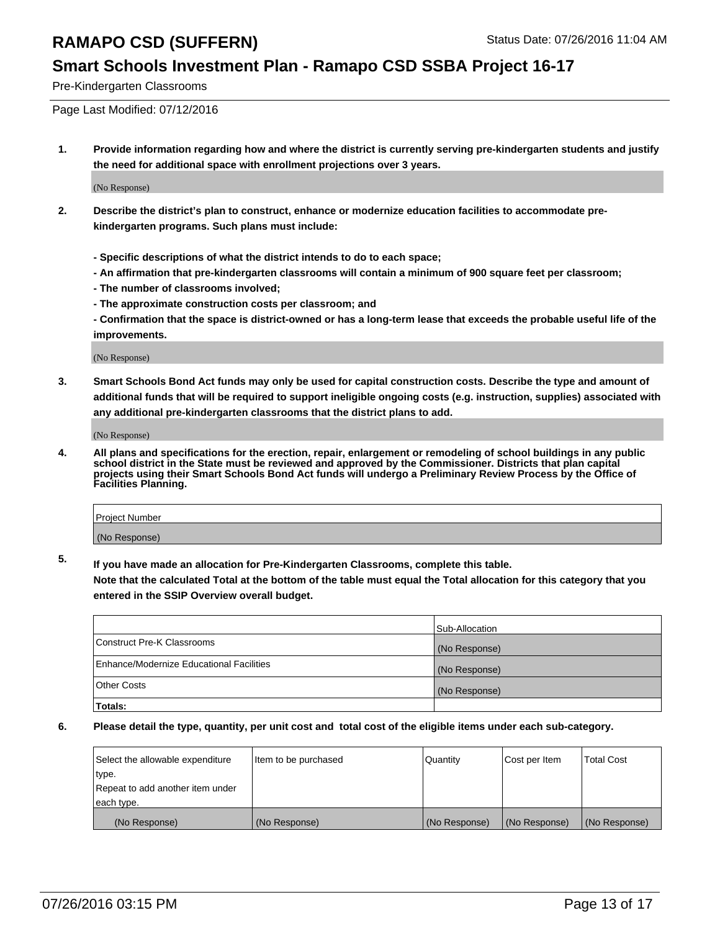### **Smart Schools Investment Plan - Ramapo CSD SSBA Project 16-17**

Pre-Kindergarten Classrooms

Page Last Modified: 07/12/2016

**1. Provide information regarding how and where the district is currently serving pre-kindergarten students and justify the need for additional space with enrollment projections over 3 years.**

(No Response)

- **2. Describe the district's plan to construct, enhance or modernize education facilities to accommodate prekindergarten programs. Such plans must include:**
	- **Specific descriptions of what the district intends to do to each space;**
	- **An affirmation that pre-kindergarten classrooms will contain a minimum of 900 square feet per classroom;**
	- **The number of classrooms involved;**
	- **The approximate construction costs per classroom; and**
	- **Confirmation that the space is district-owned or has a long-term lease that exceeds the probable useful life of the improvements.**

(No Response)

**3. Smart Schools Bond Act funds may only be used for capital construction costs. Describe the type and amount of additional funds that will be required to support ineligible ongoing costs (e.g. instruction, supplies) associated with any additional pre-kindergarten classrooms that the district plans to add.**

(No Response)

**4. All plans and specifications for the erection, repair, enlargement or remodeling of school buildings in any public school district in the State must be reviewed and approved by the Commissioner. Districts that plan capital projects using their Smart Schools Bond Act funds will undergo a Preliminary Review Process by the Office of Facilities Planning.**

| <b>Project Number</b> |  |
|-----------------------|--|
| (No Response)         |  |

**5. If you have made an allocation for Pre-Kindergarten Classrooms, complete this table.**

**Note that the calculated Total at the bottom of the table must equal the Total allocation for this category that you entered in the SSIP Overview overall budget.**

|                                          | Sub-Allocation |
|------------------------------------------|----------------|
| Construct Pre-K Classrooms               | (No Response)  |
| Enhance/Modernize Educational Facilities | (No Response)  |
| Other Costs                              | (No Response)  |
| Totals:                                  |                |

| Select the allowable expenditure | litem to be purchased | Quantity      | Cost per Item | <b>Total Cost</b> |
|----------------------------------|-----------------------|---------------|---------------|-------------------|
| type.                            |                       |               |               |                   |
| Repeat to add another item under |                       |               |               |                   |
| each type.                       |                       |               |               |                   |
| (No Response)                    | (No Response)         | (No Response) | (No Response) | (No Response)     |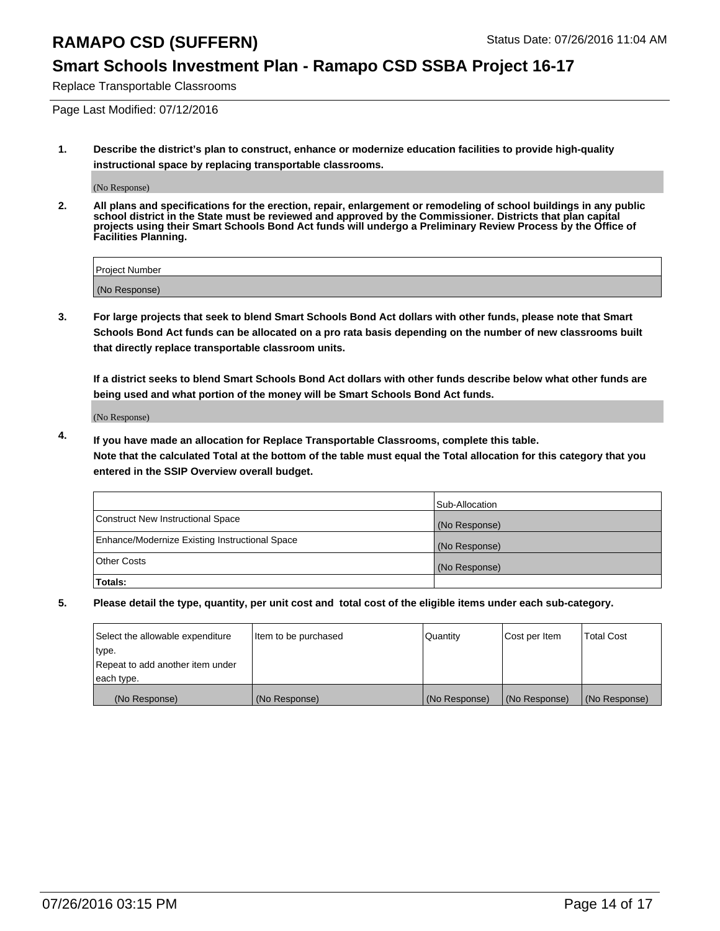### **Smart Schools Investment Plan - Ramapo CSD SSBA Project 16-17**

Replace Transportable Classrooms

Page Last Modified: 07/12/2016

**1. Describe the district's plan to construct, enhance or modernize education facilities to provide high-quality instructional space by replacing transportable classrooms.**

(No Response)

**2. All plans and specifications for the erection, repair, enlargement or remodeling of school buildings in any public school district in the State must be reviewed and approved by the Commissioner. Districts that plan capital projects using their Smart Schools Bond Act funds will undergo a Preliminary Review Process by the Office of Facilities Planning.**

| <b>Project Number</b> |  |
|-----------------------|--|
| (No Response)         |  |

**3. For large projects that seek to blend Smart Schools Bond Act dollars with other funds, please note that Smart Schools Bond Act funds can be allocated on a pro rata basis depending on the number of new classrooms built that directly replace transportable classroom units.**

**If a district seeks to blend Smart Schools Bond Act dollars with other funds describe below what other funds are being used and what portion of the money will be Smart Schools Bond Act funds.**

(No Response)

**4. If you have made an allocation for Replace Transportable Classrooms, complete this table. Note that the calculated Total at the bottom of the table must equal the Total allocation for this category that you entered in the SSIP Overview overall budget.**

|                                                | Sub-Allocation |
|------------------------------------------------|----------------|
| Construct New Instructional Space              | (No Response)  |
| Enhance/Modernize Existing Instructional Space | (No Response)  |
| Other Costs                                    | (No Response)  |
| Totals:                                        |                |

| Select the allowable expenditure | Item to be purchased | Quantity      | Cost per Item | <b>Total Cost</b> |
|----------------------------------|----------------------|---------------|---------------|-------------------|
| type.                            |                      |               |               |                   |
| Repeat to add another item under |                      |               |               |                   |
| each type.                       |                      |               |               |                   |
| (No Response)                    | (No Response)        | (No Response) | (No Response) | (No Response)     |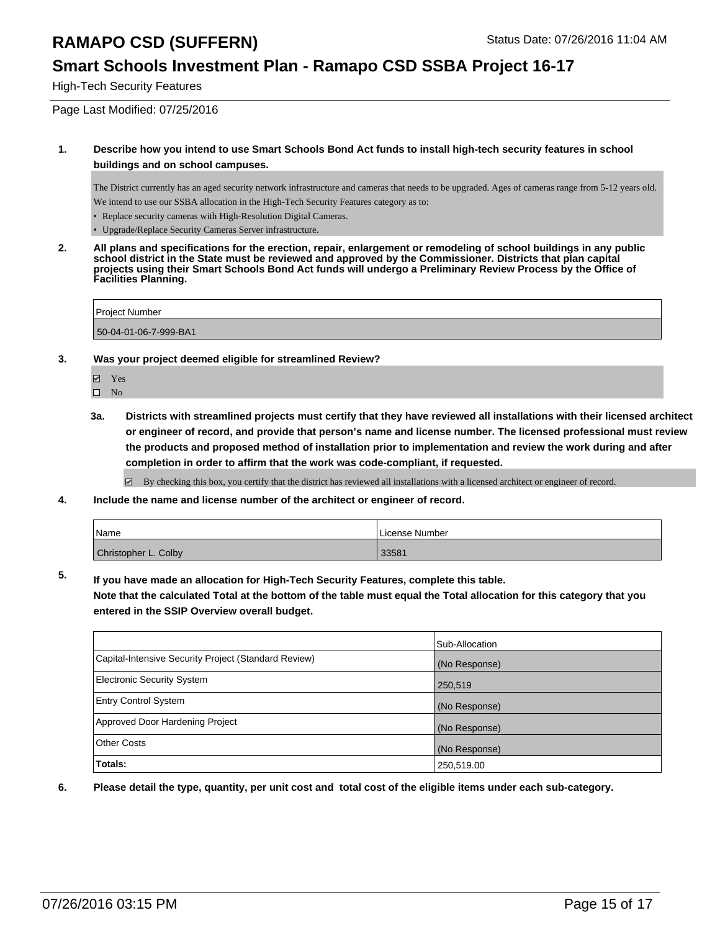#### **Smart Schools Investment Plan - Ramapo CSD SSBA Project 16-17**

High-Tech Security Features

Page Last Modified: 07/25/2016

#### **1. Describe how you intend to use Smart Schools Bond Act funds to install high-tech security features in school buildings and on school campuses.**

The District currently has an aged security network infrastructure and cameras that needs to be upgraded. Ages of cameras range from 5-12 years old. We intend to use our SSBA allocation in the High-Tech Security Features category as to:

- Replace security cameras with High-Resolution Digital Cameras.
- Upgrade/Replace Security Cameras Server infrastructure.
- **2. All plans and specifications for the erection, repair, enlargement or remodeling of school buildings in any public school district in the State must be reviewed and approved by the Commissioner. Districts that plan capital projects using their Smart Schools Bond Act funds will undergo a Preliminary Review Process by the Office of Facilities Planning.**

Project Number

50-04-01-06-7-999-BA1

- **3. Was your project deemed eligible for streamlined Review?**
	- $\overline{\mathcal{C}}$ Yes
	- $\square$  No
	- **3a. Districts with streamlined projects must certify that they have reviewed all installations with their licensed architect or engineer of record, and provide that person's name and license number. The licensed professional must review the products and proposed method of installation prior to implementation and review the work during and after completion in order to affirm that the work was code-compliant, if requested.**

By checking this box, you certify that the district has reviewed all installations with a licensed architect or engineer of record.

**4. Include the name and license number of the architect or engineer of record.**

| <i>N</i> ame         | License Number |
|----------------------|----------------|
| Christopher L. Colby | 33581          |

**5. If you have made an allocation for High-Tech Security Features, complete this table.**

**Note that the calculated Total at the bottom of the table must equal the Total allocation for this category that you entered in the SSIP Overview overall budget.**

|                                                      | Sub-Allocation |
|------------------------------------------------------|----------------|
| Capital-Intensive Security Project (Standard Review) | (No Response)  |
| <b>Electronic Security System</b>                    | 250,519        |
| <b>Entry Control System</b>                          | (No Response)  |
| Approved Door Hardening Project                      | (No Response)  |
| <b>Other Costs</b>                                   | (No Response)  |
| Totals:                                              | 250,519.00     |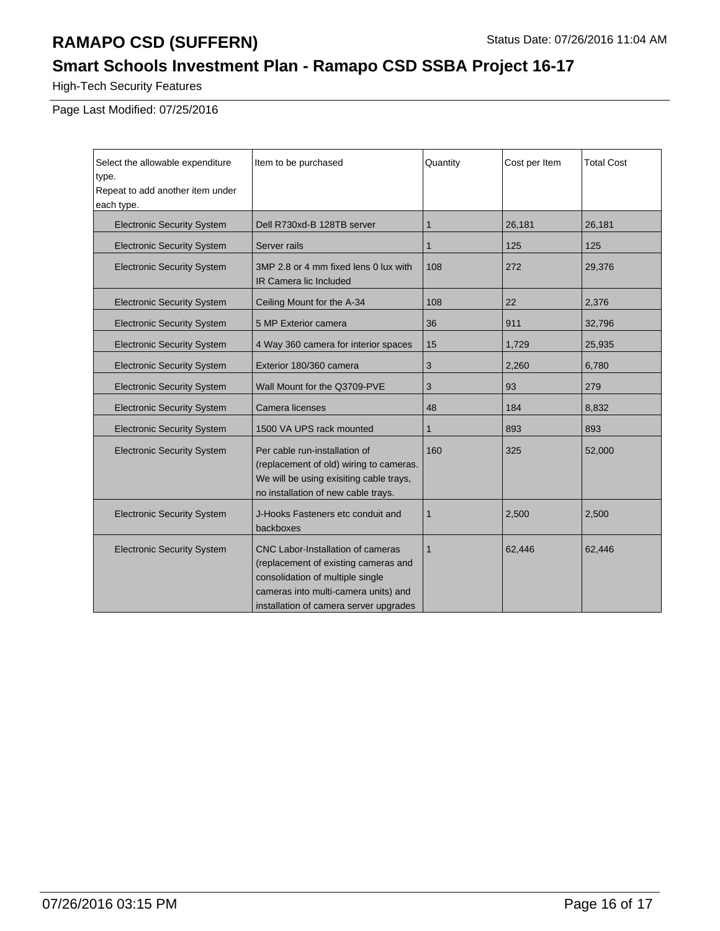## **Smart Schools Investment Plan - Ramapo CSD SSBA Project 16-17**

High-Tech Security Features

Page Last Modified: 07/25/2016

| Select the allowable expenditure<br>type.<br>Repeat to add another item under<br>each type. | Item to be purchased                                                                                                                                                                                   | Quantity     | Cost per Item | <b>Total Cost</b> |
|---------------------------------------------------------------------------------------------|--------------------------------------------------------------------------------------------------------------------------------------------------------------------------------------------------------|--------------|---------------|-------------------|
| <b>Electronic Security System</b>                                                           | Dell R730xd-B 128TB server                                                                                                                                                                             | $\mathbf{1}$ | 26,181        | 26,181            |
| <b>Electronic Security System</b>                                                           | Server rails                                                                                                                                                                                           | 1            | 125           | 125               |
| <b>Electronic Security System</b>                                                           | 3MP 2.8 or 4 mm fixed lens 0 lux with<br><b>IR Camera lic Included</b>                                                                                                                                 | 108          | 272           | 29,376            |
| <b>Electronic Security System</b>                                                           | Ceiling Mount for the A-34                                                                                                                                                                             | 108          | 22            | 2,376             |
| <b>Electronic Security System</b>                                                           | 5 MP Exterior camera                                                                                                                                                                                   | 36           | 911           | 32,796            |
| <b>Electronic Security System</b>                                                           | 4 Way 360 camera for interior spaces                                                                                                                                                                   | 15           | 1,729         | 25,935            |
| <b>Electronic Security System</b>                                                           | Exterior 180/360 camera                                                                                                                                                                                | 3            | 2,260         | 6,780             |
| <b>Electronic Security System</b>                                                           | Wall Mount for the Q3709-PVE                                                                                                                                                                           | 3            | 93            | 279               |
| <b>Electronic Security System</b>                                                           | Camera licenses                                                                                                                                                                                        | 48           | 184           | 8,832             |
| <b>Electronic Security System</b>                                                           | 1500 VA UPS rack mounted                                                                                                                                                                               | 1            | 893           | 893               |
| <b>Electronic Security System</b>                                                           | Per cable run-installation of<br>(replacement of old) wiring to cameras.<br>We will be using exisiting cable trays,<br>no installation of new cable trays.                                             | 160          | 325           | 52,000            |
| <b>Electronic Security System</b>                                                           | J-Hooks Fasteners etc conduit and<br>backboxes                                                                                                                                                         | $\mathbf{1}$ | 2,500         | 2,500             |
| <b>Electronic Security System</b>                                                           | <b>CNC Labor-Installation of cameras</b><br>(replacement of existing cameras and<br>consolidation of multiple single<br>cameras into multi-camera units) and<br>installation of camera server upgrades | $\mathbf{1}$ | 62,446        | 62,446            |